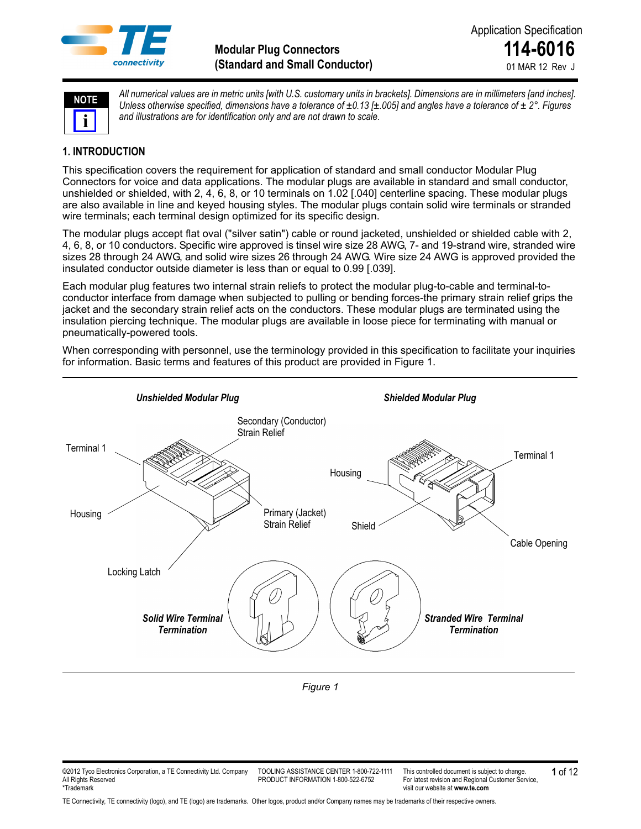



*All numerical values are in metric units [with U.S. customary units in brackets]. Dimensions are in millimeters [and inches]. Unless otherwise specified, dimensions have a tolerance of ±0.13 [±.005] and angles have a tolerance of ± 2°. Figures and illustrations are for identification only and are not drawn to scale.*

# **1. INTRODUCTION**

This specification covers the requirement for application of standard and small conductor Modular Plug Connectors for voice and data applications. The modular plugs are available in standard and small conductor, unshielded or shielded, with 2, 4, 6, 8, or 10 terminals on 1.02 [.040] centerline spacing. These modular plugs are also available in line and keyed housing styles. The modular plugs contain solid wire terminals or stranded wire terminals; each terminal design optimized for its specific design.

The modular plugs accept flat oval ("silver satin") cable or round jacketed, unshielded or shielded cable with 2, 4, 6, 8, or 10 conductors. Specific wire approved is tinsel wire size 28 AWG, 7- and 19-strand wire, stranded wire sizes 28 through 24 AWG, and solid wire sizes 26 through 24 AWG. Wire size 24 AWG is approved provided the insulated conductor outside diameter is less than or equal to 0.99 [.039].

Each modular plug features two internal strain reliefs to protect the modular plug-to-cable and terminal-toconductor interface from damage when subjected to pulling or bending forces-the primary strain relief grips the jacket and the secondary strain relief acts on the conductors. These modular plugs are terminated using the insulation piercing technique. The modular plugs are available in loose piece for terminating with manual or pneumatically-powered tools.

When corresponding with personnel, use the terminology provided in this specification to facilitate your inquiries for information. Basic terms and features of this product are provided in Figure 1.



*Figure 1*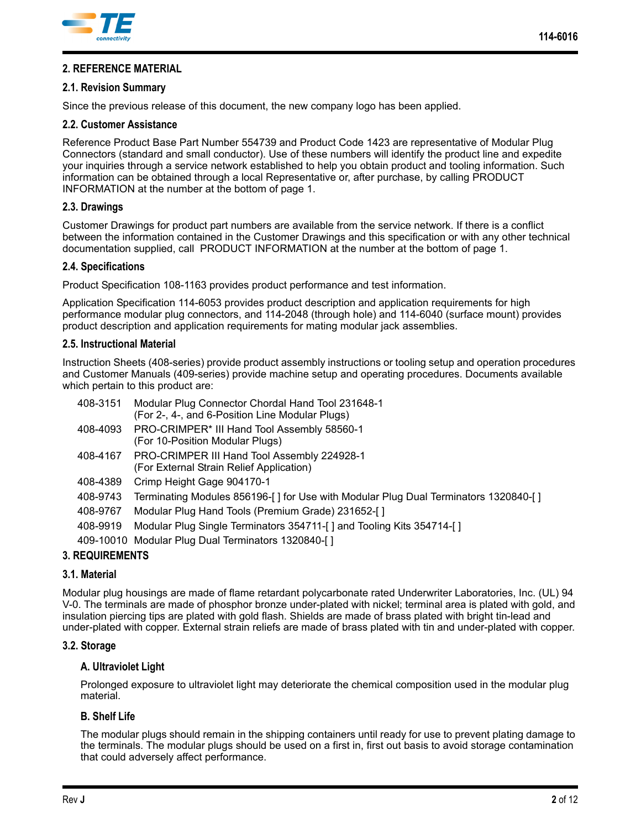

# **2. REFERENCE MATERIAL**

## **2.1. Revision Summary**

Since the previous release of this document, the new company logo has been applied.

### **2.2. Customer Assistance**

Reference Product Base Part Number 554739 and Product Code 1423 are representative of Modular Plug Connectors (standard and small conductor). Use of these numbers will identify the product line and expedite your inquiries through a service network established to help you obtain product and tooling information. Such information can be obtained through a local Representative or, after purchase, by calling PRODUCT INFORMATION at the number at the bottom of page 1.

### **2.3. Drawings**

Customer Drawings for product part numbers are available from the service network. If there is a conflict between the information contained in the Customer Drawings and this specification or with any other technical documentation supplied, call PRODUCT INFORMATION at the number at the bottom of page 1.

### **2.4. Specifications**

Product Specification 108-1163 provides product performance and test information.

Application Specification 114-6053 provides product description and application requirements for high performance modular plug connectors, and 114-2048 (through hole) and 114-6040 (surface mount) provides product description and application requirements for mating modular jack assemblies.

### **2.5. Instructional Material**

Instruction Sheets (408-series) provide product assembly instructions or tooling setup and operation procedures and Customer Manuals (409-series) provide machine setup and operating procedures. Documents available which pertain to this product are:

| 408-3151       | Modular Plug Connector Chordal Hand Tool 231648-1<br>(For 2-, 4-, and 6-Position Line Modular Plugs) |  |  |  |  |  |
|----------------|------------------------------------------------------------------------------------------------------|--|--|--|--|--|
| 408-4093       | PRO-CRIMPER* III Hand Tool Assembly 58560-1<br>(For 10-Position Modular Plugs)                       |  |  |  |  |  |
| 408-4167       | PRO-CRIMPER III Hand Tool Assembly 224928-1<br>(For External Strain Relief Application)              |  |  |  |  |  |
| 408-4389       | Crimp Height Gage 904170-1                                                                           |  |  |  |  |  |
| 408-9743       | Terminating Modules 856196-[] for Use with Modular Plug Dual Terminators 1320840-[]                  |  |  |  |  |  |
| 408-9767       | Modular Plug Hand Tools (Premium Grade) 231652-[1]                                                   |  |  |  |  |  |
| 408-9919       | Modular Plug Single Terminators 354711-[] and Tooling Kits 354714-[]                                 |  |  |  |  |  |
|                | 409-10010 Modular Plug Dual Terminators 1320840-[]                                                   |  |  |  |  |  |
| ,-a:::--::-::- |                                                                                                      |  |  |  |  |  |

## **3. REQUIREMENTS**

## **3.1. Material**

Modular plug housings are made of flame retardant polycarbonate rated Underwriter Laboratories, Inc. (UL) 94 V-0. The terminals are made of phosphor bronze under-plated with nickel; terminal area is plated with gold, and insulation piercing tips are plated with gold flash. Shields are made of brass plated with bright tin-lead and under-plated with copper. External strain reliefs are made of brass plated with tin and under-plated with copper.

### **3.2. Storage**

### **A. Ultraviolet Light**

Prolonged exposure to ultraviolet light may deteriorate the chemical composition used in the modular plug material.

## **B. Shelf Life**

The modular plugs should remain in the shipping containers until ready for use to prevent plating damage to the terminals. The modular plugs should be used on a first in, first out basis to avoid storage contamination that could adversely affect performance.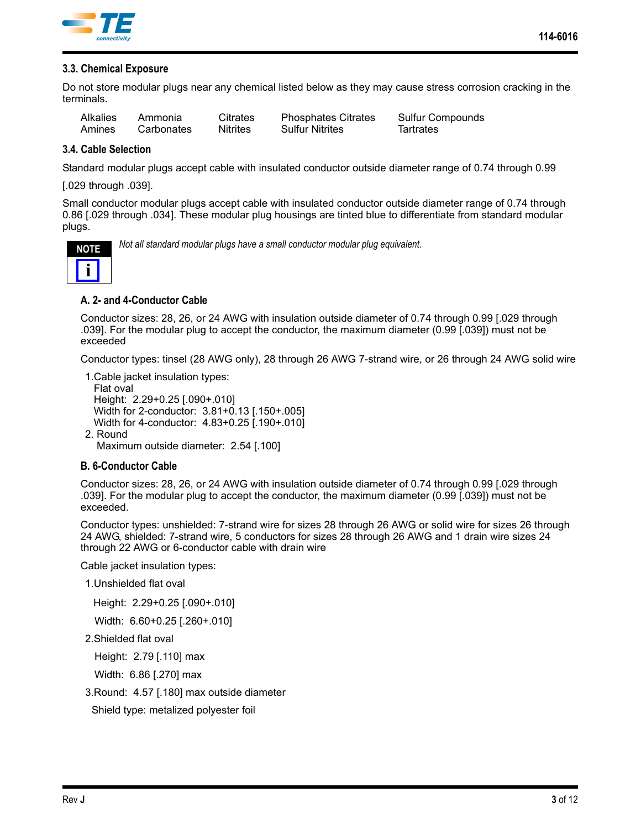

## **3.3. Chemical Exposure**

Do not store modular plugs near any chemical listed below as they may cause stress corrosion cracking in the terminals.

| Alkalies | Ammonia    | Citrates        | <b>Phosphates Citrates</b> | <b>Sulfur Compounds</b> |
|----------|------------|-----------------|----------------------------|-------------------------|
| Amines   | Carbonates | <b>Nitrites</b> | <b>Sulfur Nitrites</b>     | <b>Tartrates</b>        |

### **3.4. Cable Selection**

Standard modular plugs accept cable with insulated conductor outside diameter range of 0.74 through 0.99

[.029 through .039].

Small conductor modular plugs accept cable with insulated conductor outside diameter range of 0.74 through 0.86 [.029 through .034]. These modular plug housings are tinted blue to differentiate from standard modular plugs.



*Not all standard modular plugs have a small conductor modular plug equivalent.*

### **A. 2- and 4-Conductor Cable**

Conductor sizes: 28, 26, or 24 AWG with insulation outside diameter of 0.74 through 0.99 [.029 through .039]. For the modular plug to accept the conductor, the maximum diameter (0.99 [.039]) must not be exceeded

Conductor types: tinsel (28 AWG only), 28 through 26 AWG 7-strand wire, or 26 through 24 AWG solid wire

1.Cable jacket insulation types:

 Flat oval Height: 2.29+0.25 [.090+.010] Width for 2-conductor: 3.81+0.13 [.150+.005] Width for 4-conductor: 4.83+0.25 [.190+.010]

2. Round Maximum outside diameter: 2.54 [.100]

### **B. 6-Conductor Cable**

Conductor sizes: 28, 26, or 24 AWG with insulation outside diameter of 0.74 through 0.99 [.029 through .039]. For the modular plug to accept the conductor, the maximum diameter (0.99 [.039]) must not be exceeded.

Conductor types: unshielded: 7-strand wire for sizes 28 through 26 AWG or solid wire for sizes 26 through 24 AWG, shielded: 7-strand wire, 5 conductors for sizes 28 through 26 AWG and 1 drain wire sizes 24 through 22 AWG or 6-conductor cable with drain wire

Cable jacket insulation types:

1.Unshielded flat oval

Height: 2.29+0.25 [.090+.010]

Width: 6.60+0.25 [.260+.010]

2.Shielded flat oval

Height: 2.79 [.110] max

Width: 6.86 [.270] max

3.Round: 4.57 [.180] max outside diameter

Shield type: metalized polyester foil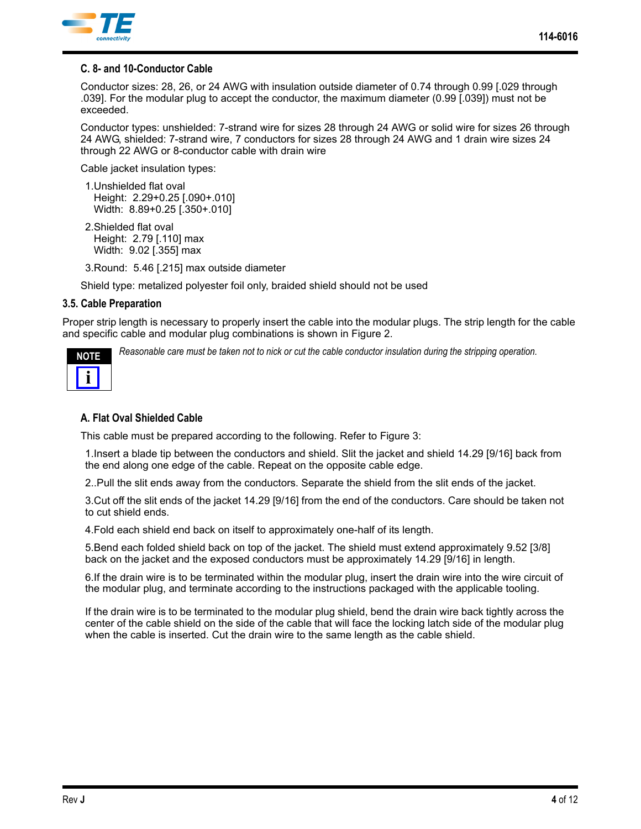

### **C. 8- and 10-Conductor Cable**

Conductor sizes: 28, 26, or 24 AWG with insulation outside diameter of 0.74 through 0.99 [.029 through .039]. For the modular plug to accept the conductor, the maximum diameter (0.99 [.039]) must not be exceeded.

Conductor types: unshielded: 7-strand wire for sizes 28 through 24 AWG or solid wire for sizes 26 through 24 AWG, shielded: 7-strand wire, 7 conductors for sizes 28 through 24 AWG and 1 drain wire sizes 24 through 22 AWG or 8-conductor cable with drain wire

Cable jacket insulation types:

- 1.Unshielded flat oval Height: 2.29+0.25 [.090+.010] Width: 8.89+0.25 [.350+.010]
- 2.Shielded flat oval Height: 2.79 [.110] max Width: 9.02 [.355] max

3.Round: 5.46 [.215] max outside diameter

Shield type: metalized polyester foil only, braided shield should not be used

#### **3.5. Cable Preparation**

Proper strip length is necessary to properly insert the cable into the modular plugs. The strip length for the cable and specific cable and modular plug combinations is shown in [Figure 2](#page-4-0).



*Reasonable care must be taken not to nick or cut the cable conductor insulation during the stripping operation.*

## **A. Flat Oval Shielded Cable**

This cable must be prepared according to the following. Refer to [Figure 3:](#page-5-0)

1.Insert a blade tip between the conductors and shield. Slit the jacket and shield 14.29 [9/16] back from the end along one edge of the cable. Repeat on the opposite cable edge.

2..Pull the slit ends away from the conductors. Separate the shield from the slit ends of the jacket.

3.Cut off the slit ends of the jacket 14.29 [9/16] from the end of the conductors. Care should be taken not to cut shield ends.

4.Fold each shield end back on itself to approximately one-half of its length.

5.Bend each folded shield back on top of the jacket. The shield must extend approximately 9.52 [3/8] back on the jacket and the exposed conductors must be approximately 14.29 [9/16] in length.

6.If the drain wire is to be terminated within the modular plug, insert the drain wire into the wire circuit of the modular plug, and terminate according to the instructions packaged with the applicable tooling.

If the drain wire is to be terminated to the modular plug shield, bend the drain wire back tightly across the center of the cable shield on the side of the cable that will face the locking latch side of the modular plug when the cable is inserted. Cut the drain wire to the same length as the cable shield.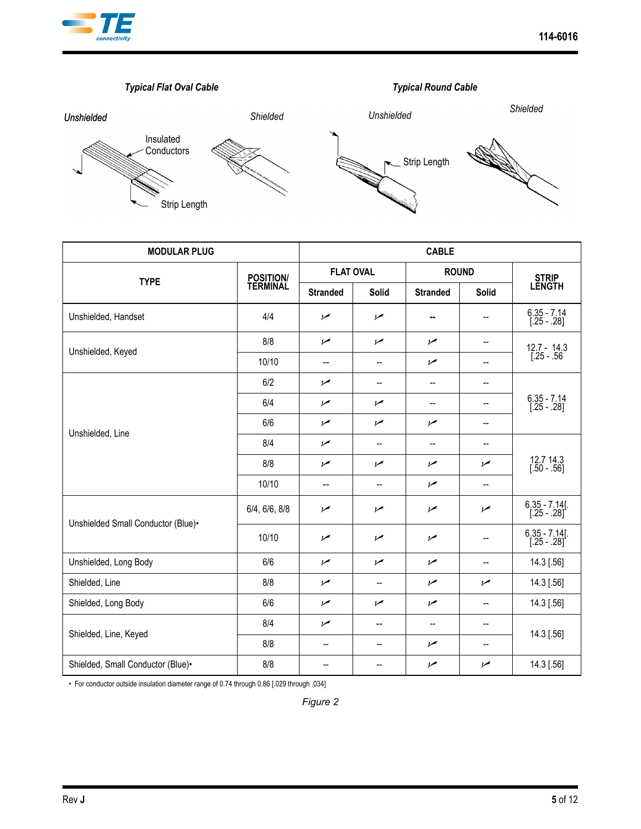

# *Typical Flat Oval Cable Typical Round Cable*





| <b>MODULAR PLUG</b>                | <b>CABLE</b>                 |                                     |                          |                 |                |                                |
|------------------------------------|------------------------------|-------------------------------------|--------------------------|-----------------|----------------|--------------------------------|
| <b>TYPE</b>                        | <b>POSITION/</b><br>TERMINAL | <b>FLAT OVAL</b>                    |                          | <b>ROUND</b>    |                |                                |
|                                    |                              | <b>Stranded</b>                     | <b>Solid</b>             | <b>Stranded</b> | Solid          | STRIP<br>LENGTH                |
| Unshielded, Handset                | 4/4                          | مما                                 | مما                      | --              |                | 6.35 - 7.14<br>[.25 - .28]     |
| Unshielded, Keyed                  | 8/8                          | $\overline{V}$                      | $\overline{v}$           | $\overline{v}$  | --             | $12.7 - 14.3$<br>$[.25-.56]$   |
|                                    | 10/10                        | --                                  | --                       | سما             | --             |                                |
|                                    | 6/2                          | مما                                 | $\overline{\phantom{a}}$ | --              | --             | $6.35 - 7.14$<br>$[.25 - .28]$ |
|                                    | 6/4                          | $\overline{v}$                      | $\overline{v}$           | --              | --             |                                |
| Unshielded, Line                   | 6/6                          | مما                                 | مما                      | И               | --             |                                |
|                                    | 8/4                          | مما                                 | $\overline{\phantom{a}}$ | --              | --             |                                |
|                                    | 8/8                          | مما                                 | مما                      | مما             | $\overline{v}$ | 12.7 14.3<br>[.50 - .56]       |
|                                    | 10/10                        | $\hspace{0.05cm}$ $\hspace{0.05cm}$ | $\overline{\phantom{a}}$ | $\overline{v}$  | --             |                                |
| Unshielded Small Conductor (Blue)• | 6/4, 6/6, 8/8                | مما                                 | И                        | $\overline{v}$  | سما            | 6.35 - 7.14[.<br>[.25 - .28]   |
|                                    | 10/10                        | مما                                 | سما                      | مما             | --             | 6.35 - 7.14[.<br>[.25 - .28]   |
| Unshielded, Long Body              | 6/6                          | مما                                 | $\overline{v}$           | $\overline{v}$  | --             | 14.3 [.56]                     |
| Shielded, Line                     | 8/8                          | سما                                 | $\overline{\phantom{a}}$ | $\overline{v}$  | سما            | 14.3 [.56]                     |
| Shielded, Long Body                | 6/6                          | مما                                 | سما                      | $\overline{v}$  | --             | 14.3 [.56]                     |
| Shielded, Line, Keyed              | 8/4                          | $\overline{V}$                      | $\overline{\phantom{a}}$ | --              | --             | 14.3 [.56]                     |
|                                    | 8/8                          | $\overline{\phantom{a}}$            | $\overline{\phantom{a}}$ | مما             | --             |                                |
| Shielded, Small Conductor (Blue).  | 8/8                          | --                                  | $\qquad \qquad -$        | $\overline{v}$  | $\overline{r}$ | 14.3 [.56]                     |

<span id="page-4-0"></span>• For conductor outside insulation diameter range of 0.74 through 0.86 [.029 through .034]

*Figure 2*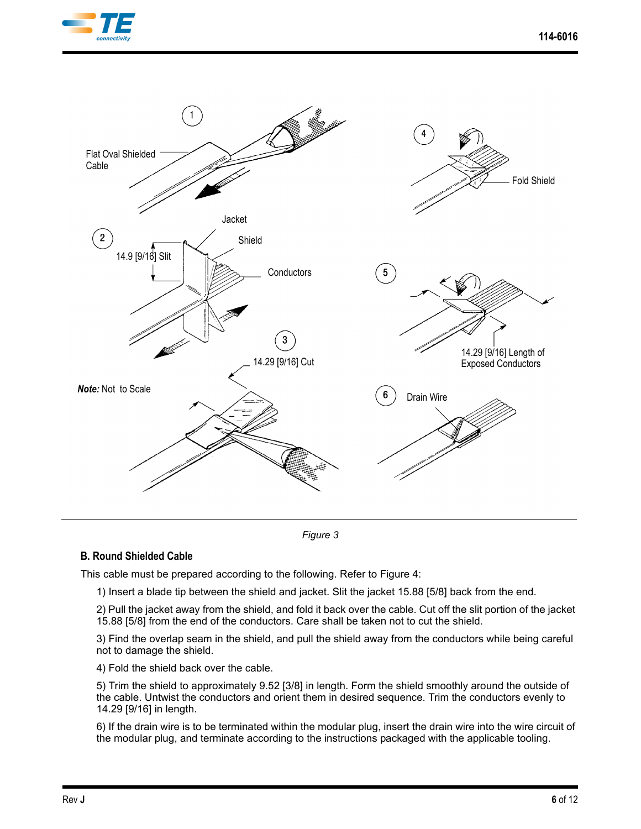



*Figure 3*

# <span id="page-5-0"></span>**B. Round Shielded Cable**

This cable must be prepared according to the following. Refer to [Figure 4:](#page-6-0)

1) Insert a blade tip between the shield and jacket. Slit the jacket 15.88 [5/8] back from the end.

2) Pull the jacket away from the shield, and fold it back over the cable. Cut off the slit portion of the jacket 15.88 [5/8] from the end of the conductors. Care shall be taken not to cut the shield.

3) Find the overlap seam in the shield, and pull the shield away from the conductors while being careful not to damage the shield.

4) Fold the shield back over the cable.

5) Trim the shield to approximately 9.52 [3/8] in length. Form the shield smoothly around the outside of the cable. Untwist the conductors and orient them in desired sequence. Trim the conductors evenly to 14.29 [9/16] in length.

6) If the drain wire is to be terminated within the modular plug, insert the drain wire into the wire circuit of the modular plug, and terminate according to the instructions packaged with the applicable tooling.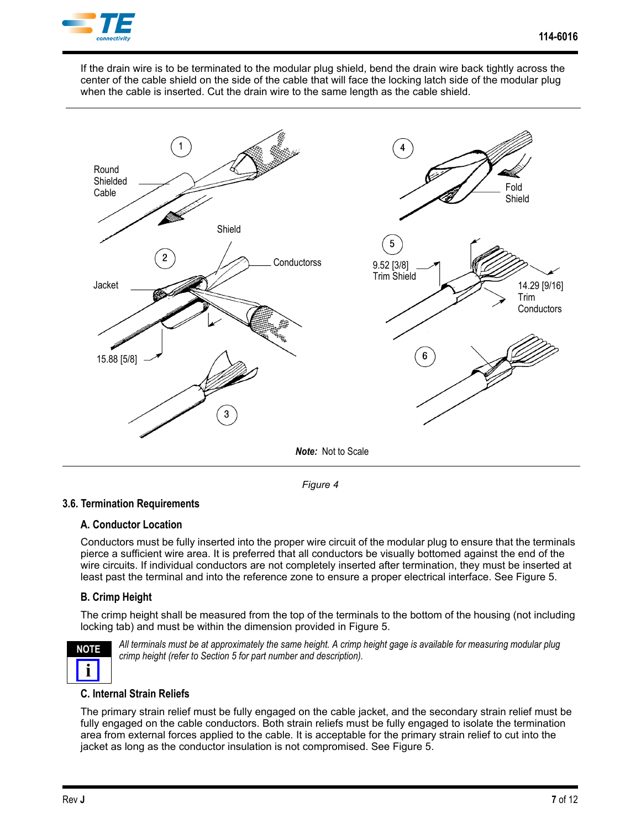

If the drain wire is to be terminated to the modular plug shield, bend the drain wire back tightly across the center of the cable shield on the side of the cable that will face the locking latch side of the modular plug when the cable is inserted. Cut the drain wire to the same length as the cable shield.



*Figure 4*

## <span id="page-6-0"></span>**3.6. Termination Requirements**

## **A. Conductor Location**

Conductors must be fully inserted into the proper wire circuit of the modular plug to ensure that the terminals pierce a sufficient wire area. It is preferred that all conductors be visually bottomed against the end of the wire circuits. If individual conductors are not completely inserted after termination, they must be inserted at least past the terminal and into the reference zone to ensure a proper electrical interface. See [Figure 5.](#page-7-0)

## **B. Crimp Height**

The crimp height shall be measured from the top of the terminals to the bottom of the housing (not including locking tab) and must be within the dimension provided in [Figure 5](#page-7-0).



*All terminals must be at approximately the same height. A crimp height gage is available for measuring modular plug crimp height (refer to Section 5 for part number and description).*

## **C. Internal Strain Reliefs**

The primary strain relief must be fully engaged on the cable jacket, and the secondary strain relief must be fully engaged on the cable conductors. Both strain reliefs must be fully engaged to isolate the termination area from external forces applied to the cable. It is acceptable for the primary strain relief to cut into the jacket as long as the conductor insulation is not compromised. See [Figure 5.](#page-7-0)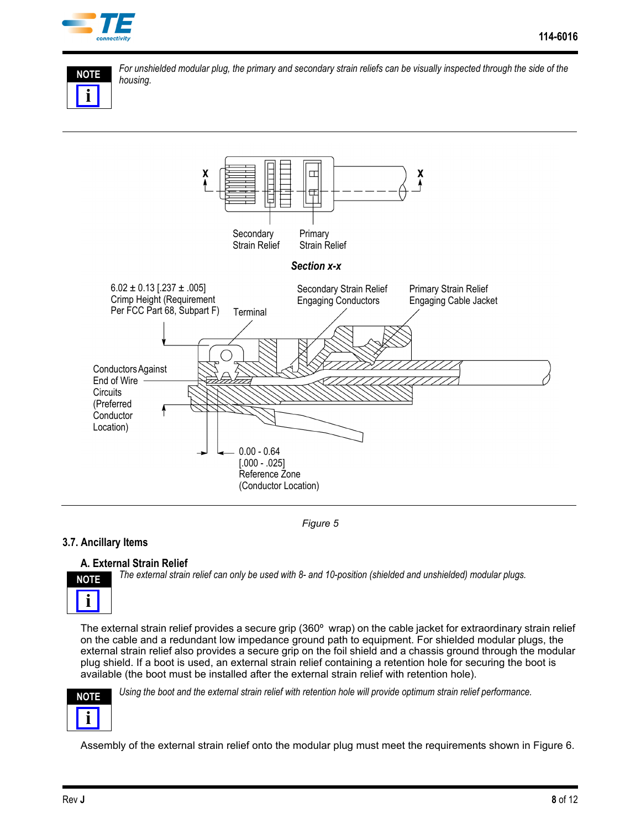



For unshielded modular plug, the primary and secondary strain reliefs can be visually inspected through the side of the *housing.*



*Figure 5*

# <span id="page-7-0"></span>**3.7. Ancillary Items**

# **A. External Strain Relief**

*The external strain relief can only be used with 8- and 10-position (shielded and unshielded) modular plugs.*



The external strain relief provides a secure grip (360° wrap) on the cable jacket for extraordinary strain relief on the cable and a redundant low impedance ground path to equipment. For shielded modular plugs, the external strain relief also provides a secure grip on the foil shield and a chassis ground through the modular plug shield. If a boot is used, an external strain relief containing a retention hole for securing the boot is available (the boot must be installed after the external strain relief with retention hole).



*Using the boot and the external strain relief with retention hole will provide optimum strain relief performance.*

Assembly of the external strain relief onto the modular plug must meet the requirements shown in [Figure 6](#page-8-0).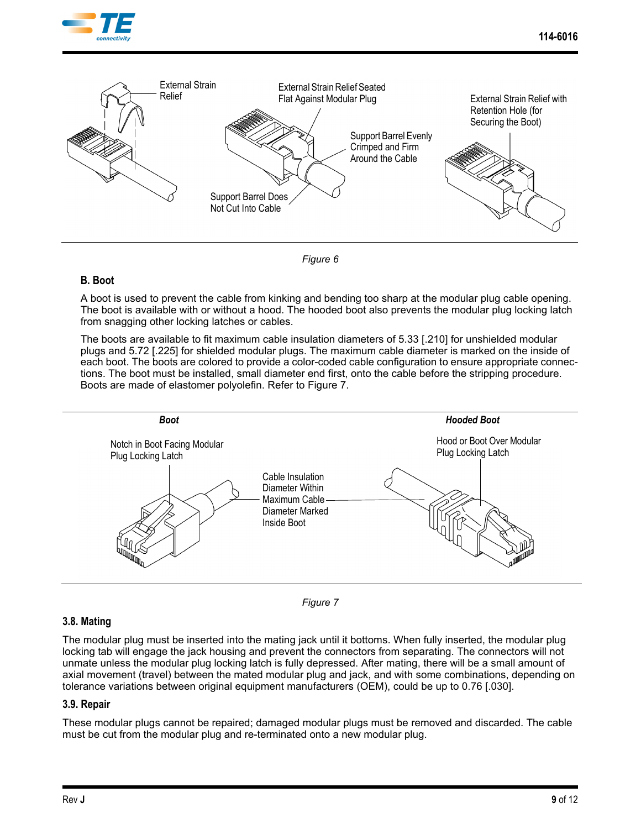



*Figure 6*

## <span id="page-8-0"></span>**B. Boot**

A boot is used to prevent the cable from kinking and bending too sharp at the modular plug cable opening. The boot is available with or without a hood. The hooded boot also prevents the modular plug locking latch from snagging other locking latches or cables.

The boots are available to fit maximum cable insulation diameters of 5.33 [.210] for unshielded modular plugs and 5.72 [.225] for shielded modular plugs. The maximum cable diameter is marked on the inside of each boot. The boots are colored to provide a color-coded cable configuration to ensure appropriate connections. The boot must be installed, small diameter end first, onto the cable before the stripping procedure. Boots are made of elastomer polyolefin. Refer to Figure 7.



*Figure 7*

## **3.8. Mating**

The modular plug must be inserted into the mating jack until it bottoms. When fully inserted, the modular plug locking tab will engage the jack housing and prevent the connectors from separating. The connectors will not unmate unless the modular plug locking latch is fully depressed. After mating, there will be a small amount of axial movement (travel) between the mated modular plug and jack, and with some combinations, depending on tolerance variations between original equipment manufacturers (OEM), could be up to 0.76 [.030].

## **3.9. Repair**

These modular plugs cannot be repaired; damaged modular plugs must be removed and discarded. The cable must be cut from the modular plug and re-terminated onto a new modular plug.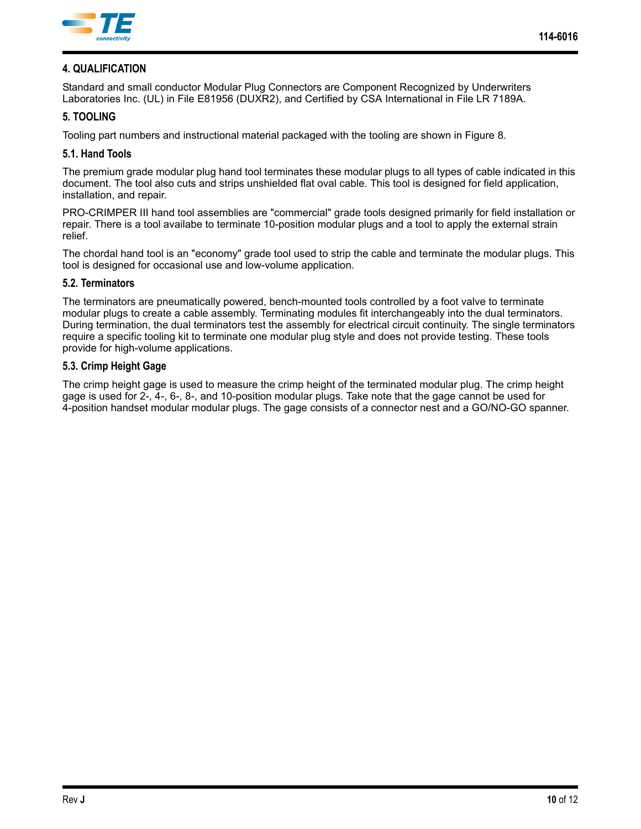

# **4. QUALIFICATION**

Standard and small conductor Modular Plug Connectors are Component Recognized by Underwriters Laboratories Inc. (UL) in File E81956 (DUXR2), and Certified by CSA International in File LR 7189A.

## **5. TOOLING**

Tooling part numbers and instructional material packaged with the tooling are shown in [Figure 8](#page-10-0).

## **5.1. Hand Tools**

The premium grade modular plug hand tool terminates these modular plugs to all types of cable indicated in this document. The tool also cuts and strips unshielded flat oval cable. This tool is designed for field application, installation, and repair.

PRO-CRIMPER III hand tool assemblies are "commercial" grade tools designed primarily for field installation or repair. There is a tool availabe to terminate 10-position modular plugs and a tool to apply the external strain relief.

The chordal hand tool is an "economy" grade tool used to strip the cable and terminate the modular plugs. This tool is designed for occasional use and low-volume application.

### **5.2. Terminators**

The terminators are pneumatically powered, bench-mounted tools controlled by a foot valve to terminate modular plugs to create a cable assembly. Terminating modules fit interchangeably into the dual terminators. During termination, the dual terminators test the assembly for electrical circuit continuity. The single terminators require a specific tooling kit to terminate one modular plug style and does not provide testing. These tools provide for high-volume applications.

### **5.3. Crimp Height Gage**

The crimp height gage is used to measure the crimp height of the terminated modular plug. The crimp height gage is used for 2-, 4-, 6-, 8-, and 10-position modular plugs. Take note that the gage cannot be used for 4-position handset modular modular plugs. The gage consists of a connector nest and a GO/NO-GO spanner.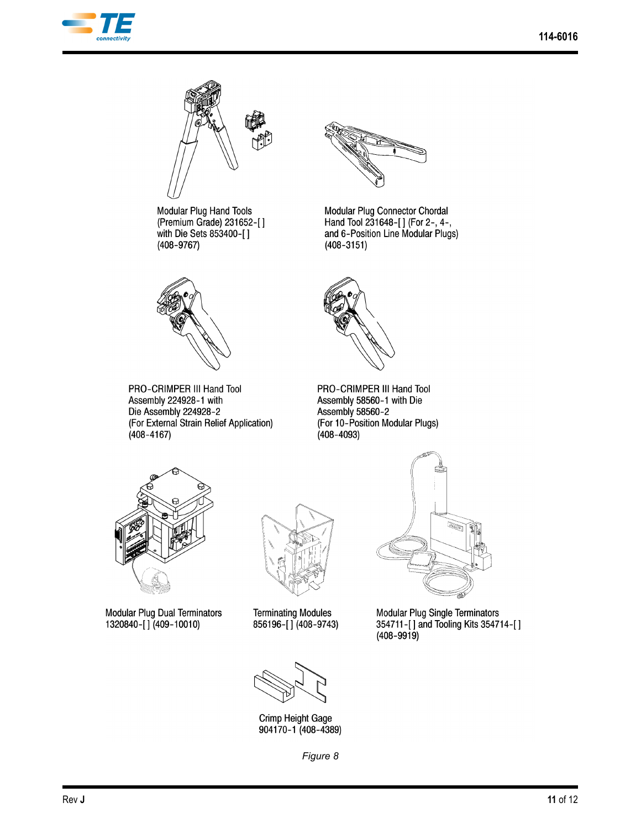



Modular Plug Hand Tools (Premium Grade) 231652-[] with Die Sets 853400-[]  $(408 - 9767)$ 



PRO-CRIMPER III Hand Tool Assembly 224928-1 with Die Assembly 224928-2 (For External Strain Relief Application)  $(408 - 4167)$ 



Modular Plug Connector Chordal Hand Tool 231648-[] (For 2-, 4-, and 6-Position Line Modular Plugs)  $(408 - 3151)$ 



PRO-CRIMPER III Hand Tool Assembly 58560-1 with Die Assembly 58560-2 (For 10-Position Modular Plugs)  $(408 - 4093)$ 



**Modular Plug Dual Terminators** 1320840-[] (409-10010)



**Terminating Modules** 856196-[] (408-9743)



**Modular Plug Single Terminators** 354711-[] and Tooling Kits 354714-[]  $(408 - 9919)$ 

<span id="page-10-0"></span>

Crimp Height Gage 904170-1 (408-4389)